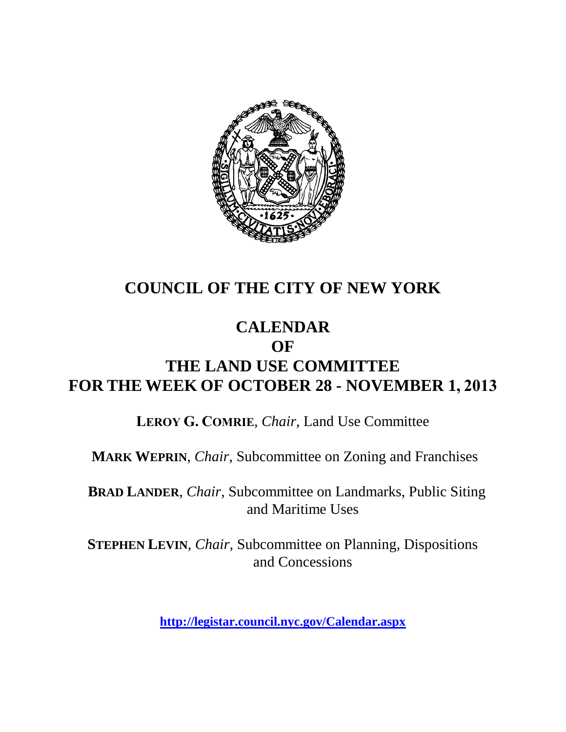

## **COUNCIL OF THE CITY OF NEW YORK**

#### **CALENDAR OF**

# **THE LAND USE COMMITTEE FOR THE WEEK OF OCTOBER 28 - NOVEMBER 1, 2013**

**LEROY G. COMRIE**, *Chair*, Land Use Committee

**MARK WEPRIN**, *Chair*, Subcommittee on Zoning and Franchises

**BRAD LANDER**, *Chair*, Subcommittee on Landmarks, Public Siting and Maritime Uses

**STEPHEN LEVIN**, *Chair,* Subcommittee on Planning, Dispositions and Concessions

**<http://legistar.council.nyc.gov/Calendar.aspx>**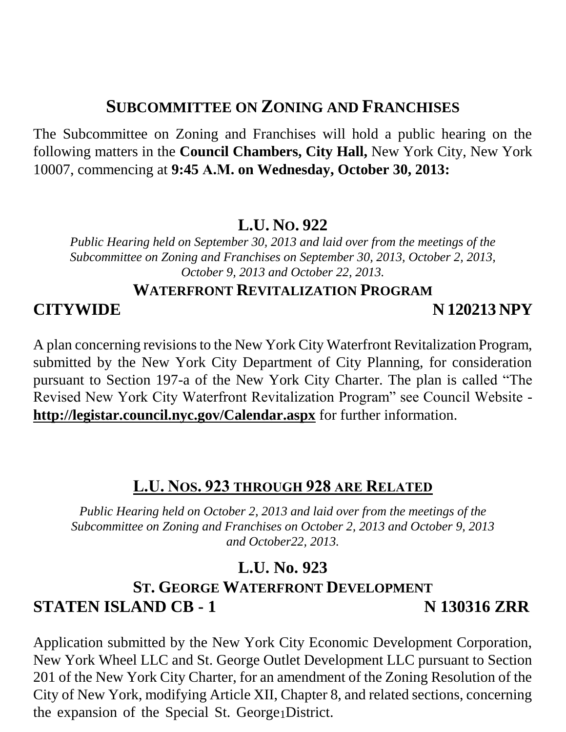## **SUBCOMMITTEE ON ZONING AND FRANCHISES**

The Subcommittee on Zoning and Franchises will hold a public hearing on the following matters in the **Council Chambers, City Hall,** New York City, New York 10007, commencing at **9:45 A.M. on Wednesday, October 30, 2013:**

#### **L.U. NO. 922**

*Public Hearing held on September 30, 2013 and laid over from the meetings of the Subcommittee on Zoning and Franchises on September 30, 2013, October 2, 2013, October 9, 2013 and October 22, 2013.*

#### **WATERFRONT REVITALIZATION PROGRAM**

#### **CITYWIDE N 120213 NPY**

A plan concerning revisions to the New York City Waterfront Revitalization Program, submitted by the New York City Department of City Planning, for consideration pursuant to Section 197-a of the New York City Charter. The plan is called "The Revised New York City Waterfront Revitalization Program" see Council Website **<http://legistar.council.nyc.gov/Calendar.aspx>** for further information.

#### **L.U. NOS. 923 THROUGH 928 ARE RELATED**

*Public Hearing held on October 2, 2013 and laid over from the meetings of the Subcommittee on Zoning and Franchises on October 2, 2013 and October 9, 2013 and October22, 2013.*

## **L.U. No. 923**

## **ST. GEORGE WATERFRONT DEVELOPMENT STATEN ISLAND CB - 1 N 130316 ZRR**

the expansion of the Special St. George <sub>1</sub>District. Application submitted by the New York City Economic Development Corporation, New York Wheel LLC and St. George Outlet Development LLC pursuant to Section 201 of the New York City Charter, for an amendment of the Zoning Resolution of the City of New York, modifying Article XII, Chapter 8, and related sections, concerning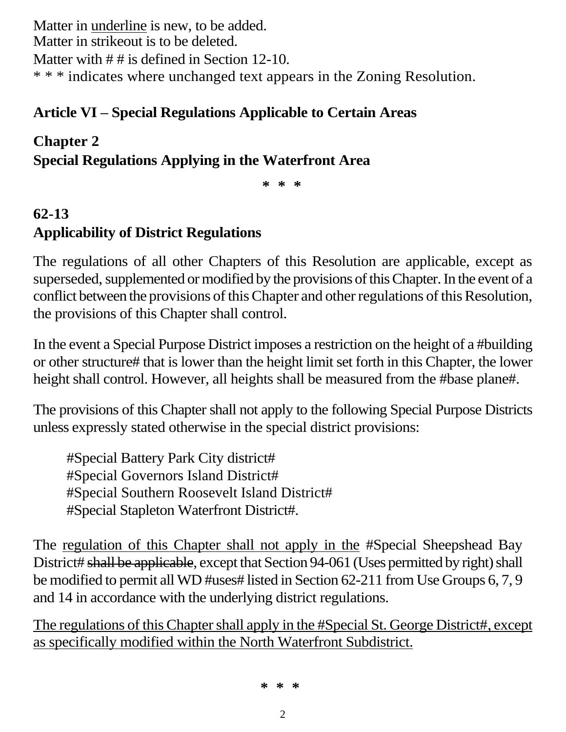Matter in underline is new, to be added. Matter in strikeout is to be deleted. Matter with  $\#$  # is defined in Section 12-10. \* \* \* indicates where unchanged text appears in the Zoning Resolution.

## **Article VI – Special Regulations Applicable to Certain Areas**

#### **Chapter 2**

**Special Regulations Applying in the Waterfront Area**

**\* \* \***

# **62-13 Applicability of District Regulations**

The regulations of all other Chapters of this Resolution are applicable, except as superseded, supplemented or modified by the provisions of this Chapter. In the event of a conflict between the provisions of this Chapter and other regulations of this Resolution, the provisions of this Chapter shall control.

In the event a Special Purpose District imposes a restriction on the height of a #building or other structure# that is lower than the height limit set forth in this Chapter, the lower height shall control. However, all heights shall be measured from the #base plane#.

The provisions of this Chapter shall not apply to the following Special Purpose Districts unless expressly stated otherwise in the special district provisions:

#Special Battery Park City district# #Special Governors Island District# #Special Southern Roosevelt Island District# #Special Stapleton Waterfront District#.

The regulation of this Chapter shall not apply in the #Special Sheepshead Bay District# shall be applicable, except that Section 94-061 (Uses permitted by right) shall be modified to permit all WD #uses# listed in Section 62-211 from Use Groups 6, 7, 9 and 14 in accordance with the underlying district regulations.

The regulations of this Chapter shall apply in the #Special St. George District#, except as specifically modified within the North Waterfront Subdistrict.

**\* \* \***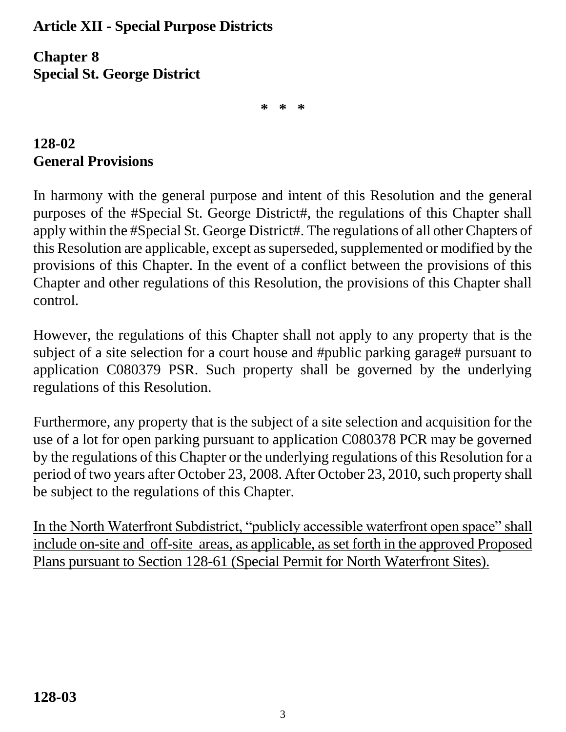#### **Article XII - Special Purpose Districts**

**Chapter 8 Special St. George District**

**\* \* \***

## **128-02 General Provisions**

In harmony with the general purpose and intent of this Resolution and the general purposes of the #Special St. George District#, the regulations of this Chapter shall apply within the #Special St. George District#. The regulations of all other Chapters of this Resolution are applicable, except as superseded, supplemented or modified by the provisions of this Chapter. In the event of a conflict between the provisions of this Chapter and other regulations of this Resolution, the provisions of this Chapter shall control.

However, the regulations of this Chapter shall not apply to any property that is the subject of a site selection for a court house and #public parking garage# pursuant to application C080379 PSR. Such property shall be governed by the underlying regulations of this Resolution.

Furthermore, any property that is the subject of a site selection and acquisition for the use of a lot for open parking pursuant to application C080378 PCR may be governed by the regulations of this Chapter or the underlying regulations of this Resolution for a period of two years after October 23, 2008. After October 23, 2010, such property shall be subject to the regulations of this Chapter.

In the North Waterfront Subdistrict, "publicly accessible waterfront open space" shall include on-site and off-site areas, as applicable, as set forth in the approved Proposed Plans pursuant to Section 128-61 (Special Permit for North Waterfront Sites).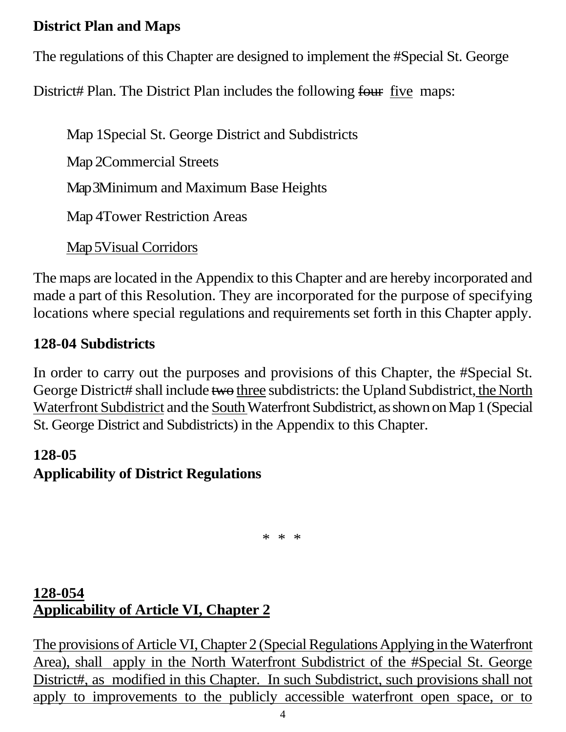#### **District Plan and Maps**

The regulations of this Chapter are designed to implement the #Special St. George

District# Plan. The District Plan includes the following four five maps:

Map 1Special St. George District and Subdistricts Map 2Commercial Streets

Map 3Minimum and Maximum Base Heights

Map 4Tower Restriction Areas

Map 5Visual Corridors

The maps are located in the Appendix to this Chapter and are hereby incorporated and made a part of this Resolution. They are incorporated for the purpose of specifying locations where special regulations and requirements set forth in this Chapter apply.

## **128-04 Subdistricts**

In order to carry out the purposes and provisions of this Chapter, the #Special St. George District# shall include two three subdistricts: the Upland Subdistrict, the North Waterfront Subdistrict and the South Waterfront Subdistrict, as shown on Map 1 (Special St. George District and Subdistricts) in the Appendix to this Chapter.

## **128-05 Applicability of District Regulations**

\* \* \*

## **128-054 Applicability of Article VI, Chapter 2**

The provisions of Article VI, Chapter 2 (Special Regulations Applying in the Waterfront Area), shall apply in the North Waterfront Subdistrict of the #Special St. George District#, as modified in this Chapter. In such Subdistrict, such provisions shall not apply to improvements to the publicly accessible waterfront open space, or to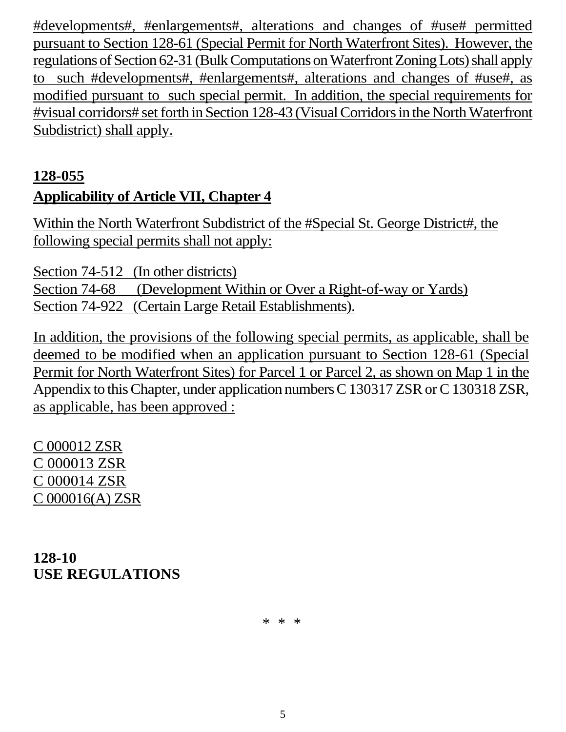#developments#, #enlargements#, alterations and changes of #use# permitted pursuant to Section 128-61 (Special Permit for North Waterfront Sites). However, the regulations of Section 62-31 (Bulk Computations on Waterfront Zoning Lots) shall apply to such #developments#, #enlargements#, alterations and changes of #use#, as modified pursuant to such special permit. In addition, the special requirements for #visual corridors# set forth in Section 128-43 (Visual Corridors in the North Waterfront Subdistrict) shall apply.

## **128-055 Applicability of Article VII, Chapter 4**

Within the North Waterfront Subdistrict of the #Special St. George District#, the following special permits shall not apply:

Section 74-512 (In other districts) Section 74-68 (Development Within or Over a Right-of-way or Yards) Section 74-922 (Certain Large Retail Establishments).

In addition, the provisions of the following special permits, as applicable, shall be deemed to be modified when an application pursuant to Section 128-61 (Special Permit for North Waterfront Sites) for Parcel 1 or Parcel 2, as shown on Map 1 in the Appendix to this Chapter, under application numbers C 130317 ZSR or C 130318 ZSR, as applicable, has been approved :

C 000012 ZSR C 000013 ZSR C 000014 ZSR C 000016(A) ZSR

**128-10 USE REGULATIONS**

\* \* \*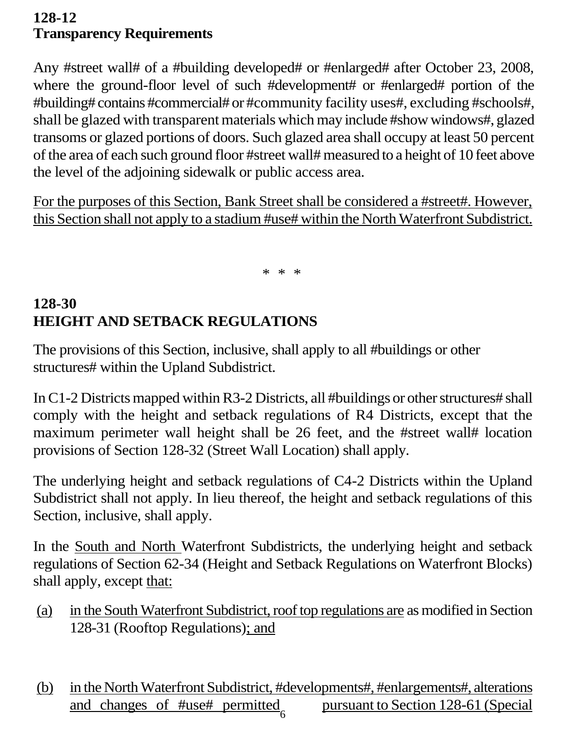#### **128-12 Transparency Requirements**

Any #street wall# of a #building developed# or #enlarged# after October 23, 2008, where the ground-floor level of such #development# or #enlarged# portion of the #building# contains #commercial# or #community facility uses#, excluding #schools#, shall be glazed with transparent materials which may include #show windows#, glazed transoms or glazed portions of doors. Such glazed area shall occupy at least 50 percent of the area of each such ground floor #street wall# measured to a height of 10 feet above the level of the adjoining sidewalk or public access area.

For the purposes of this Section, Bank Street shall be considered a #street#. However, this Section shall not apply to a stadium #use# within the North Waterfront Subdistrict.

\* \* \*

## **128-30 HEIGHT AND SETBACK REGULATIONS**

The provisions of this Section, inclusive, shall apply to all #buildings or other structures# within the Upland Subdistrict.

In C1-2 Districts mapped within R3-2 Districts, all #buildings or other structures# shall comply with the height and setback regulations of R4 Districts, except that the maximum perimeter wall height shall be 26 feet, and the #street wall# location provisions of Section 128-32 (Street Wall Location) shall apply.

The underlying height and setback regulations of C4-2 Districts within the Upland Subdistrict shall not apply. In lieu thereof, the height and setback regulations of this Section, inclusive, shall apply.

In the South and North Waterfront Subdistricts, the underlying height and setback regulations of Section 62-34 (Height and Setback Regulations on Waterfront Blocks) shall apply, except that:

- (a) in the South Waterfront Subdistrict, roof top regulations are as modified in Section 128-31 (Rooftop Regulations); and
- (b) in the North Waterfront Subdistrict, #developments#, #enlargements#, alterations and changes of #use# permitted pursuant to Section 128-61 (Special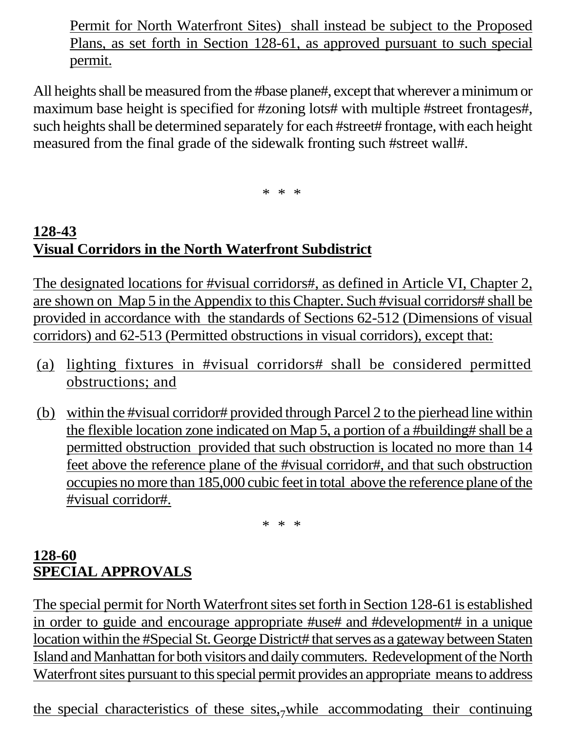Permit for North Waterfront Sites) shall instead be subject to the Proposed Plans, as set forth in Section 128-61, as approved pursuant to such special permit.

All heights shall be measured from the #base plane#, except that wherever a minimum or maximum base height is specified for #zoning lots# with multiple #street frontages#, such heights shall be determined separately for each #street# frontage, with each height measured from the final grade of the sidewalk fronting such #street wall#.

\* \* \*

## **128-43 Visual Corridors in the North Waterfront Subdistrict**

The designated locations for #visual corridors#, as defined in Article VI, Chapter 2, are shown on Map 5 in the Appendix to this Chapter. Such #visual corridors# shall be provided in accordance with the standards of Sections 62-512 (Dimensions of visual corridors) and 62-513 (Permitted obstructions in visual corridors), except that:

- (a) lighting fixtures in #visual corridors# shall be considered permitted obstructions; and
- (b) within the #visual corridor# provided through Parcel 2 to the pierhead line within the flexible location zone indicated on Map 5, a portion of a #building# shall be a permitted obstruction provided that such obstruction is located no more than 14 feet above the reference plane of the #visual corridor#, and that such obstruction occupies no more than 185,000 cubic feet in total above the reference plane of the #visual corridor#.

\* \* \*

#### **128-60 SPECIAL APPROVALS**

The special permit for North Waterfront sites set forth in Section 128-61 is established in order to guide and encourage appropriate #use# and #development# in a unique location within the #Special St. George District# that serves as a gateway between Staten Island and Manhattan for both visitors and daily commuters. Redevelopment of the North Waterfront sites pursuant to this special permit provides an appropriate means to address

the special characteristics of these sites, while accommodating their continuing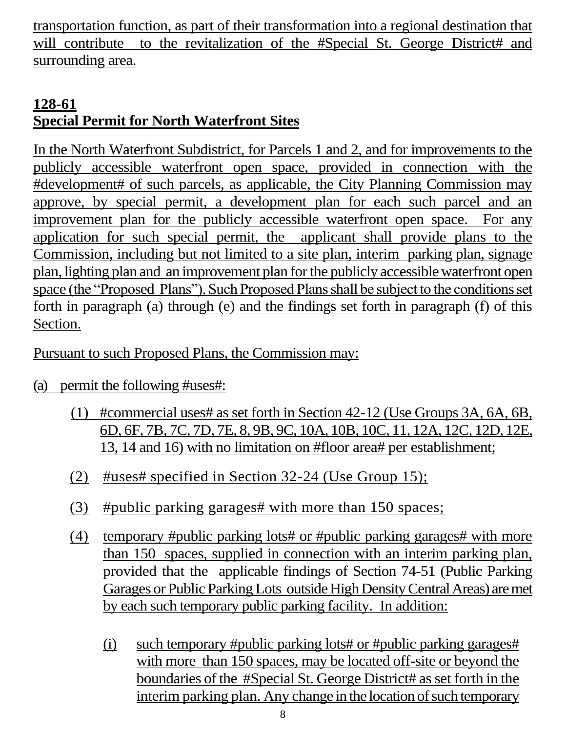transportation function, as part of their transformation into a regional destination that will contribute to the revitalization of the #Special St. George District# and surrounding area.

## **128-61 Special Permit for North Waterfront Sites**

In the North Waterfront Subdistrict, for Parcels 1 and 2, and for improvements to the publicly accessible waterfront open space, provided in connection with the #development# of such parcels, as applicable, the City Planning Commission may approve, by special permit, a development plan for each such parcel and an improvement plan for the publicly accessible waterfront open space. For any application for such special permit, the applicant shall provide plans to the Commission, including but not limited to a site plan, interim parking plan, signage plan, lighting plan and an improvement plan for the publicly accessible waterfront open space (the "Proposed Plans"). Such Proposed Plans shall be subject to the conditions set forth in paragraph (a) through (e) and the findings set forth in paragraph (f) of this Section.

Pursuant to such Proposed Plans, the Commission may:

- (a) permit the following #uses#:
	- (1) #commercial uses# as set forth in Section 42-12 (Use Groups 3A, 6A, 6B, 6D, 6F, 7B, 7C, 7D, 7E, 8, 9B, 9C, 10A, 10B, 10C, 11, 12A, 12C, 12D, 12E, 13, 14 and 16) with no limitation on #floor area# per establishment;
	- (2) #uses# specified in Section 32-24 (Use Group 15);
	- (3) #public parking garages# with more than 150 spaces;
	- (4) temporary #public parking lots# or #public parking garages# with more than 150 spaces, supplied in connection with an interim parking plan, provided that the applicable findings of Section 74-51 (Public Parking Garages or Public Parking Lots outside High Density Central Areas) are met by each such temporary public parking facility. In addition:
		- (i) such temporary #public parking lots# or #public parking garages# with more than 150 spaces, may be located off-site or beyond the boundaries of the #Special St. George District# as set forth in the interim parking plan. Any change in the location of such temporary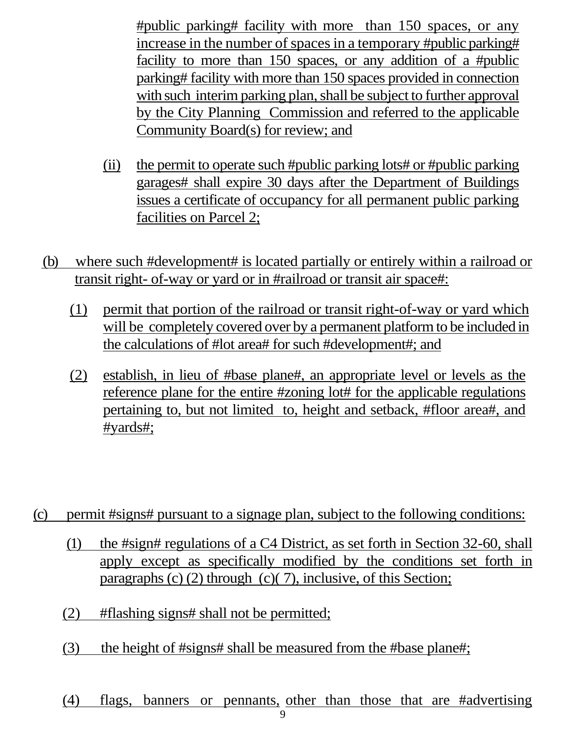#public parking# facility with more than 150 spaces, or any increase in the number of spaces in a temporary #public parking# facility to more than 150 spaces, or any addition of a #public parking# facility with more than 150 spaces provided in connection with such interim parking plan, shall be subject to further approval by the City Planning Commission and referred to the applicable Community Board(s) for review; and

- (ii) the permit to operate such #public parking lots# or #public parking garages# shall expire 30 days after the Department of Buildings issues a certificate of occupancy for all permanent public parking facilities on Parcel 2;
- ( b) where such #development# is located partially or entirely within a railroad or transit right- of-way or yard or in #railroad or transit air space#:
	- (1) permit that portion of the railroad or transit right-of-way or yard which will be completely covered over by a permanent platform to be included in the calculations of #lot area# for such #development#; and
	- (2) establish, in lieu of #base plane#, an appropriate level or levels as the reference plane for the entire #zoning lot# for the applicable regulations pertaining to, but not limited to, height and setback, #floor area#, and #yards#;

#### (c) permit #signs# pursuant to a signage plan, subject to the following conditions:

- (1) the #sign# regulations of a C4 District, as set forth in Section 32-60, shall apply except as specifically modified by the conditions set forth in paragraphs (c) (2) through (c)( 7), inclusive, of this Section;
- (2) #flashing signs# shall not be permitted;
- (3) the height of #signs# shall be measured from the #base plane#;

#### (4) flags, banners or pennants, other than those that are #advertising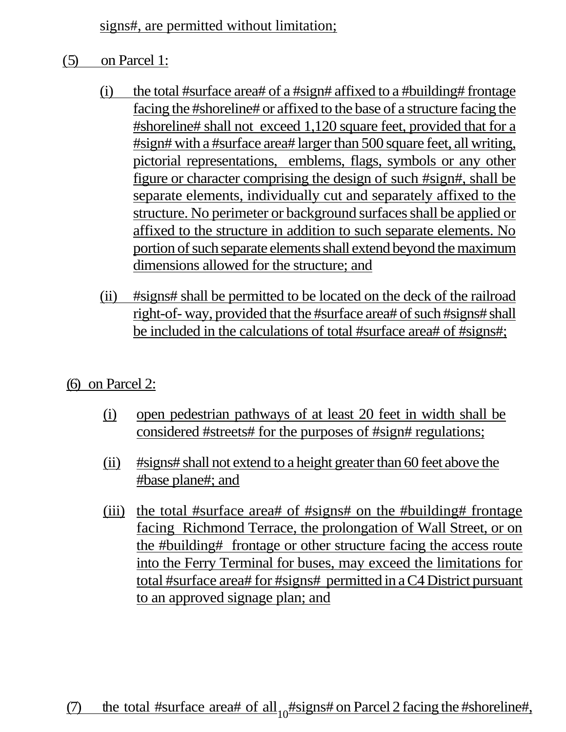signs#, are permitted without limitation;

- ( 5) on Parcel 1:
	- (i) the total #surface area# of a #sign# affixed to a #building# frontage facing the #shoreline# or affixed to the base of a structure facing the #shoreline# shall not exceed 1,120 square feet, provided that for a #sign# with a #surface area# larger than 500 square feet, all writing, pictorial representations, emblems, flags, symbols or any other figure or character comprising the design of such #sign#, shall be separate elements, individually cut and separately affixed to the structure. No perimeter or background surfaces shall be applied or affixed to the structure in addition to such separate elements. No portion of such separate elements shall extend beyond the maximum dimensions allowed for the structure; and
	- (ii) #signs# shall be permitted to be located on the deck of the railroad right-of- way, provided that the #surface area# of such #signs# shall be included in the calculations of total #surface area# of #signs#;
- (6) on Parcel 2:
	- (i) open pedestrian pathways of at least 20 feet in width shall be considered #streets# for the purposes of #sign# regulations;
	- (ii) #signs# shall not extend to a height greater than 60 feet above the #base plane#; and
	- (iii) the total #surface area# of #signs# on the #building# frontage facing Richmond Terrace, the prolongation of Wall Street, or on the #building# frontage or other structure facing the access route into the Ferry Terminal for buses, may exceed the limitations for total #surface area# for #signs# permitted in a C4 District pursuant to an approved signage plan; and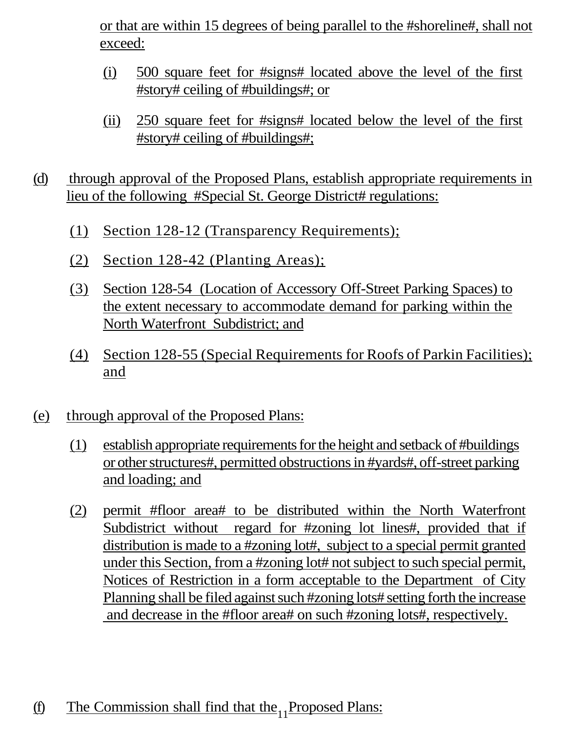or that are within 15 degrees of being parallel to the #shoreline#, shall not exceed:

- (i) 500 square feet for #signs# located above the level of the first #story# ceiling of #buildings#; or
- (ii) 250 square feet for #signs# located below the level of the first #story# ceiling of #buildings#;
- (d) through approval of the Proposed Plans, establish appropriate requirements in lieu of the following #Special St. George District# regulations:
	- (1) Section 128-12 (Transparency Requirements);
	- (2) Section 128-42 (Planting Areas);
	- (3) Section 128-54 (Location of Accessory Off-Street Parking Spaces) to the extent necessary to accommodate demand for parking within the North Waterfront Subdistrict; and
	- (4) Section 128-55 (Special Requirements for Roofs of Parkin Facilities); and
- (e) t hrough approval of the Proposed Plans:
	- (1) establish appropriate requirements for the height and setback of #buildings or other structures#, permitted obstructions in #yards#, off-street parking and loading; and
	- (2) permit #floor area# to be distributed within the North Waterfront Subdistrict without regard for #zoning lot lines#, provided that if distribution is made to a #zoning lot#, subject to a special permit granted under this Section, from a #zoning lot# not subject to such special permit, Notices of Restriction in a form acceptable to the Department of City Planning shall be filed against such #zoning lots# setting forth the increase and decrease in the #floor area# on such #zoning lots#, respectively.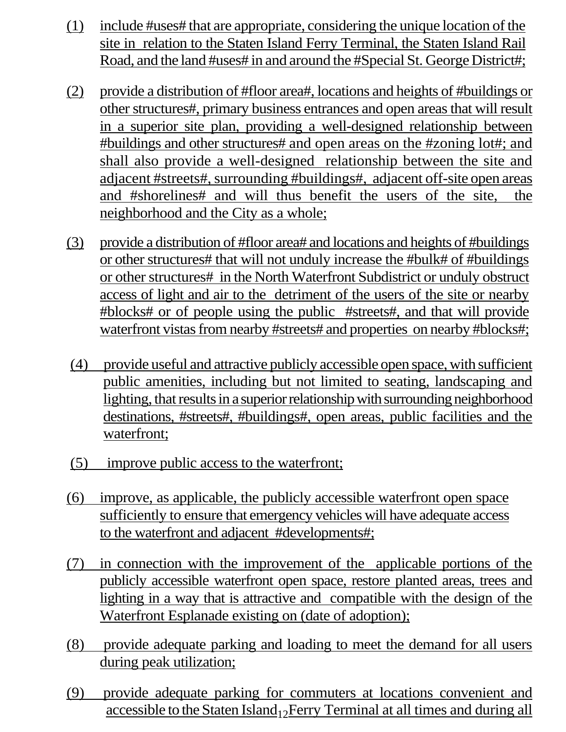- (1) include #uses# that are appropriate, considering the unique location of the site in relation to the Staten Island Ferry Terminal, the Staten Island Rail Road, and the land #uses# in and around the #Special St. George District#;
- (2) provide a distribution of #floor area#, locations and heights of #buildings or other structures#, primary business entrances and open areas that will result in a superior site plan, providing a well-designed relationship between #buildings and other structures# and open areas on the #zoning lot#; and shall also provide a well-designed relationship between the site and adjacent #streets#, surrounding #buildings#, adjacent off-site open areas and #shorelines# and will thus benefit the users of the site, the neighborhood and the City as a whole;
- (3) provide a distribution of #floor area# and locations and heights of #buildings or other structures# that will not unduly increase the #bulk# of #buildings or other structures# in the North Waterfront Subdistrict or unduly obstruct access of light and air to the detriment of the users of the site or nearby #blocks# or of people using the public #streets#, and that will provide waterfront vistas from nearby #streets# and properties on nearby #blocks#;
- (4) provide useful and attractive publicly accessible open space, with sufficient public amenities, including but not limited to seating, landscaping and lighting, that results in a superior relationship with surrounding neighborhood destinations, #streets#, #buildings#, open areas, public facilities and the waterfront;
- (5) improve public access to the waterfront;
- (6) improve, as applicable, the publicly accessible waterfront open space sufficiently to ensure that emergency vehicles will have adequate access to the waterfront and adjacent #developments#;
- (7) in connection with the improvement of the applicable portions of the publicly accessible waterfront open space, restore planted areas, trees and lighting in a way that is attractive and compatible with the design of the Waterfront Esplanade existing on (date of adoption);
- (8) provide adequate parking and loading to meet the demand for all users during peak utilization;
- accessible to the Staten Island 12 Ferry Terminal at all times and during all (9) provide adequate parking for commuters at locations convenient and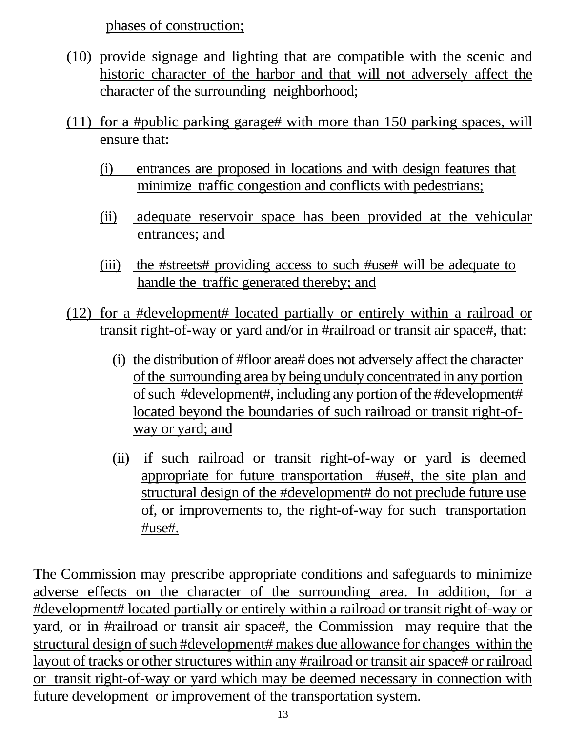phases of construction;

- (10) provide signage and lighting that are compatible with the scenic and historic character of the harbor and that will not adversely affect the character of the surrounding neighborhood;
- (11) for a #public parking garage# with more than 150 parking spaces, will ensure that:
	- (i) entrances are proposed in locations and with design features that minimize traffic congestion and conflicts with pedestrians;
	- (ii) adequate reservoir space has been provided at the vehicular entrances; and
	- (iii) the #streets# providing access to such #use# will be adequate to handle the traffic generated thereby; and
- (12) for a #development# located partially or entirely within a railroad or transit right-of-way or yard and/or in #railroad or transit air space#, that:
	- (i) the distribution of #floor area# does not adversely affect the character of the surrounding area by being unduly concentrated in any portion of such #development#, including any portion of the #development# located beyond the boundaries of such railroad or transit right-ofway or yard; and
	- (ii) if such railroad or transit right-of-way or yard is deemed appropriate for future transportation #use#, the site plan and structural design of the #development# do not preclude future use of, or improvements to, the right-of-way for such transportation #use#.

The Commission may prescribe appropriate conditions and safeguards to minimize adverse effects on the character of the surrounding area. In addition, for a #development# located partially or entirely within a railroad or transit right of-way or yard, or in #railroad or transit air space#, the Commission may require that the structural design of such #development# makes due allowance for changes within the layout of tracks or other structures within any #railroad or transit air space# or railroad or transit right-of-way or yard which may be deemed necessary in connection with future development or improvement of the transportation system.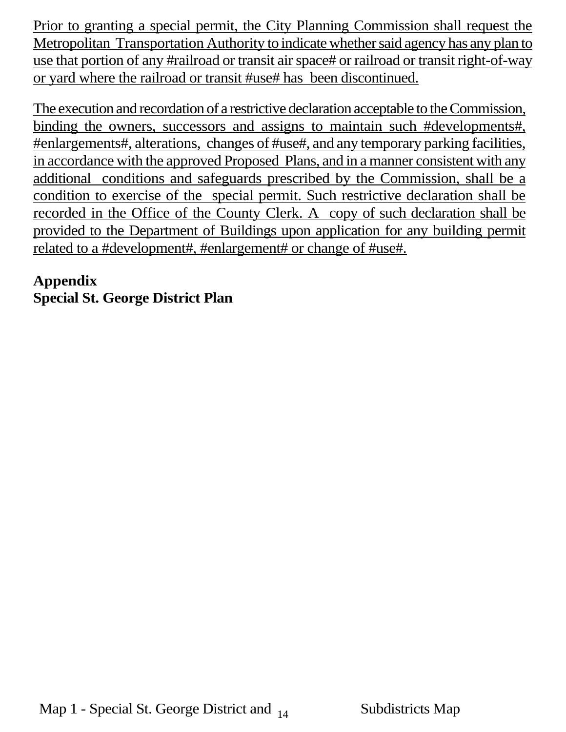Prior to granting a special permit, the City Planning Commission shall request the Metropolitan Transportation Authority to indicate whether said agency has any plan to use that portion of any #railroad or transit air space# or railroad or transit right-of-way or yard where the railroad or transit #use# has been discontinued.

The execution and recordation of a restrictive declaration acceptable to the Commission, binding the owners, successors and assigns to maintain such #developments#, #enlargements#, alterations, changes of #use#, and any temporary parking facilities, in accordance with the approved Proposed Plans, and in a manner consistent with any additional conditions and safeguards prescribed by the Commission, shall be a condition to exercise of the special permit. Such restrictive declaration shall be recorded in the Office of the County Clerk. A copy of such declaration shall be provided to the Department of Buildings upon application for any building permit related to a #development#, #enlargement# or change of #use#.

## **Appendix Special St. George District Plan**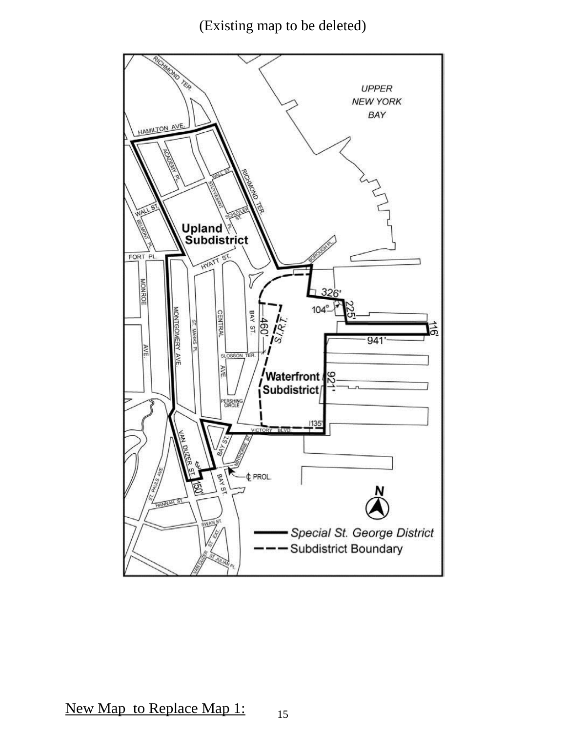(Existing map to be deleted)



15 New Map to Replace Map 1: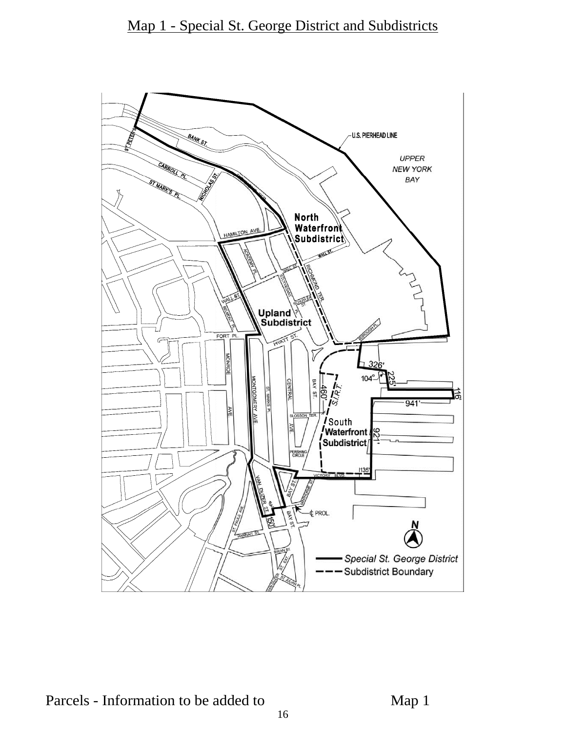

Parcels - Information to be added to Map 1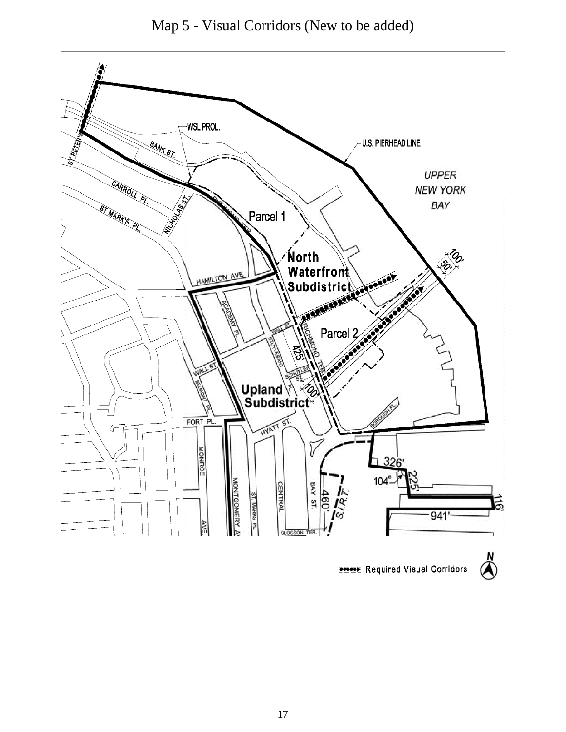

Map 5 - Visual Corridors (New to be added)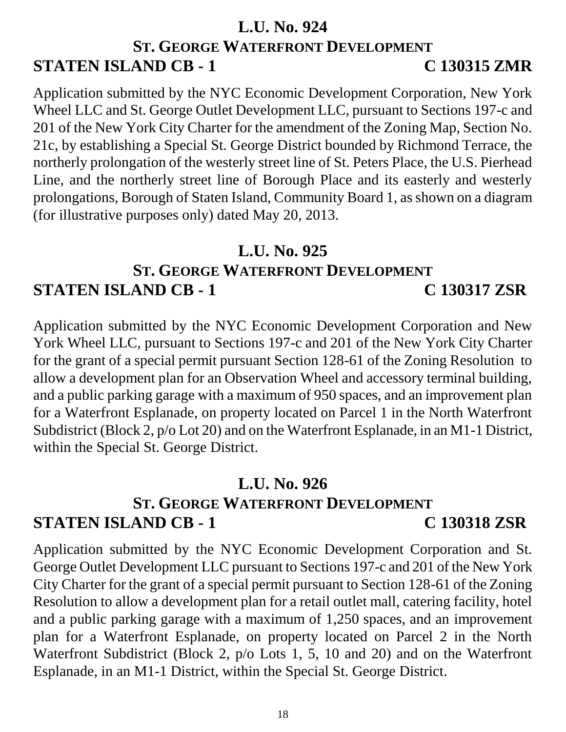#### **L.U. No. 924**

# **ST. GEORGE WATERFRONT DEVELOPMENT STATEN ISLAND CB - 1 C 130315 ZMR**

Application submitted by the NYC Economic Development Corporation, New York Wheel LLC and St. George Outlet Development LLC, pursuant to Sections 197-c and 201 of the New York City Charter for the amendment of the Zoning Map, Section No. 21c, by establishing a Special St. George District bounded by Richmond Terrace, the northerly prolongation of the westerly street line of St. Peters Place, the U.S. Pierhead Line, and the northerly street line of Borough Place and its easterly and westerly prolongations, Borough of Staten Island, Community Board 1, as shown on a diagram (for illustrative purposes only) dated May 20, 2013.

## **L.U. No. 925**

## **ST. GEORGE WATERFRONT DEVELOPMENT STATEN ISLAND CB - 1 C 130317 ZSR**

Application submitted by the NYC Economic Development Corporation and New York Wheel LLC, pursuant to Sections 197-c and 201 of the New York City Charter for the grant of a special permit pursuant Section 128-61 of the Zoning Resolution to allow a development plan for an Observation Wheel and accessory terminal building, and a public parking garage with a maximum of 950 spaces, and an improvement plan for a Waterfront Esplanade, on property located on Parcel 1 in the North Waterfront Subdistrict (Block 2, p/o Lot 20) and on the Waterfront Esplanade, in an M1-1 District, within the Special St. George District.

## **L.U. No. 926**

# **ST. GEORGE WATERFRONT DEVELOPMENT STATEN ISLAND CB - 1 C 130318 ZSR**

Application submitted by the NYC Economic Development Corporation and St. George Outlet Development LLC pursuant to Sections 197-c and 201 of the New York City Charter for the grant of a special permit pursuant to Section 128-61 of the Zoning Resolution to allow a development plan for a retail outlet mall, catering facility, hotel and a public parking garage with a maximum of 1,250 spaces, and an improvement plan for a Waterfront Esplanade, on property located on Parcel 2 in the North Waterfront Subdistrict (Block 2, p/o Lots 1, 5, 10 and 20) and on the Waterfront Esplanade, in an M1-1 District, within the Special St. George District.